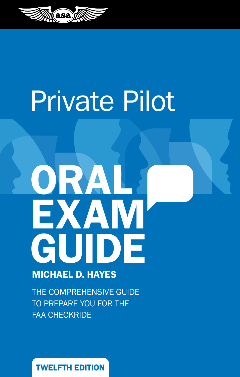

# Private Pilot

# ORAL EXAM GUIDE MICHAEL D. HAYES

THE COMPREHENSIVE GUIDE TO PREPARE YOU FOR THE FAA CHECKRIDE

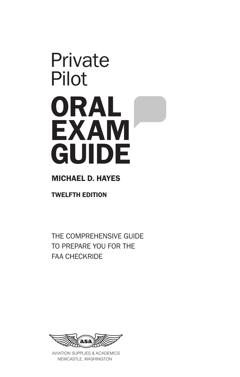## **Private** Pilot ORAL EXAM GUIDE

### MICHAEL D. HAYES

### TWELFTH EDITION

THE COMPREHENSIVE GUIDE TO PREPARE YOU FOR THE FAA CHECKRIDE



AVIATION SUPPLIES & ACADEMICS NEWCASTLE, WASHINGTON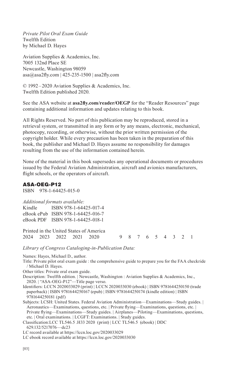*Private Pilot Oral Exam Guide* Twelfth Edition by Michael D. Hayes

Aviation Supplies & Academics, Inc. 7005 132nd Place SE Newcastle, Washington 98059 asa@asa2fly.com | 425-235-1500 | asa2fly.com

© 1992–2020 Aviation Supplies & Academics, Inc. Twelfth Edition published 2020.

See the ASA website at **asa2fly.com/reader/OEGP** for the "Reader Resources" page containing additional information and updates relating to this book.

All Rights Reserved. No part of this publication may be reproduced, stored in a retrieval system, or transmitted in any form or by any means, electronic, mechanical, photocopy, recording, or otherwise, without the prior written permission of the copyright holder. While every precaution has been taken in the preparation of this book, the publisher and Michael D. Hayes assume no responsibility for damages resulting from the use of the information contained herein.

None of the material in this book supersedes any operational documents or procedures issued by the Federal Aviation Administration, aircraft and avionics manufacturers, flight schools, or the operators of aircraft.

#### ASA-OEG-P12

ISBN 978-1-64425-015-0

*Additional formats available:*

Kindle ISBN 978-1-64425-017-4 eBook ePub ISBN 978-1-64425-016-7 eBook PDF ISBN 978-1-64425-018-1

Printed in the United States of America 2024 2023 2022 2021 2020 9 8 7 6 5 4 3 2 1

*Library of Congress Cataloging-in-Publication Data:*

Names: Hayes, Michael D., author.

Title: Private pilot oral exam guide : the comprehensive guide to prepare you for the FAA checkride / Michael D. Hayes.

Other titles: Private oral exam guide.

Description: Twelfth edition. | Newcastle, Washington : Aviation Supplies & Academics, Inc., 2020. | "ASA-OEG-P12"—Title page verso.

Identifiers: LCCN 2020033029 (print) | LCCN 2020033030 (ebook) | ISBN 9781644250150 (trade paperback) | ISBN 9781644250167 (epub) | ISBN 9781644250174 (kindle edition) | ISBN 9781644250181 (pdf)

Subjects: LCSH: United States. Federal Aviation Administration—Examinations—Study guides. | Aeronautics—Examinations, questions, etc. | Private flying—Examinations, questions, etc. | Private flying—Examinations—Study guides. | Airplanes—Piloting—Examinations, questions, etc. | Oral examinations. | LCGFT: Examinations. | Study guides.

Classification:LCC TL546.5 .H33 2020 (print) | LCC TL546.5 (ebook) | DDC 629.132/5217076—dc23

LC record available at https://lccn.loc.gov/2020033029

LC ebook record available at https://lccn.loc.gov/2020033030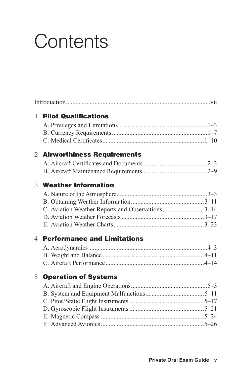### **Contents**

| 1.                  | <b>Pilot Qualifications</b>                                                    |
|---------------------|--------------------------------------------------------------------------------|
| $\overline{2}$      | <b>Airworthiness Requirements</b>                                              |
| 3                   | <b>Weather Information</b><br>C. Aviation Weather Reports and Observations3-14 |
| $\overline{4}$<br>5 | <b>Performance and Limitations</b><br><b>Operation of Systems</b>              |
|                     |                                                                                |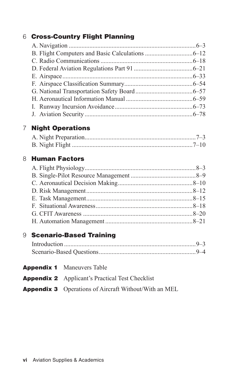### 6 Cross-Country Flight Planning

### 7 Night Operations

### 8 Human Factors

### 9 Scenario-Based Training

Appendix 1 Maneuvers Table

|  | <b>Appendix 2</b> Applicant's Practical Test Checklist |  |
|--|--------------------------------------------------------|--|
|--|--------------------------------------------------------|--|

Appendix 3 Operations of Aircraft Without/With an MEL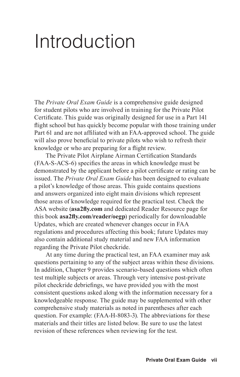### Introduction

The *Private Oral Exam Guide* is a comprehensive guide designed for student pilots who are involved in training for the Private Pilot Certificate. This guide was originally designed for use in a Part 141 flight school but has quickly become popular with those training under Part 61 and are not affiliated with an FAA-approved school. The guide will also prove beneficial to private pilots who wish to refresh their knowledge or who are preparing for a flight review.

The Private Pilot Airplane Airman Certification Standards (FAA-S-ACS-6) specifies the areas in which knowledge must be demonstrated by the applicant before a pilot certificate or rating can be issued. The *Private Oral Exam Guide* has been designed to evaluate a pilot's knowledge of those areas. This guide contains questions and answers organized into eight main divisions which represent those areas of knowledge required for the practical test. Check the ASA website (**asa2fly.com** and dedicated Reader Resource page for this book **asa2fly.com/reader/oegp**) periodically for downloadable Updates, which are created whenever changes occur in FAA regulations and procedures affecting this book; future Updates may also contain additional study material and new FAA information regarding the Private Pilot checkride.

At any time during the practical test, an FAA examiner may ask questions pertaining to any of the subject areas within these divisions. In addition, Chapter 9 provides scenario-based questions which often test multiple subjects or areas. Through very intensive post-private pilot checkride debriefings, we have provided you with the most consistent questions asked along with the information necessary for a knowledgeable response. The guide may be supplemented with other comprehensive study materials as noted in parentheses after each question. For example: (FAA-H-8083-3). The abbreviations for these materials and their titles are listed below. Be sure to use the latest revision of these references when reviewing for the test.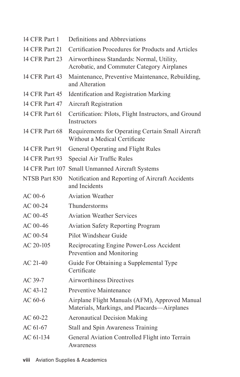| 14 CFR Part 1   | Definitions and Abbreviations                                                                 |
|-----------------|-----------------------------------------------------------------------------------------------|
| 14 CFR Part 21  | Certification Procedures for Products and Articles                                            |
| 14 CFR Part 23  | Airworthiness Standards: Normal, Utility,<br>Acrobatic, and Commuter Category Airplanes       |
| 14 CFR Part 43  | Maintenance, Preventive Maintenance, Rebuilding,<br>and Alteration                            |
| 14 CFR Part 45  | Identification and Registration Marking                                                       |
| 14 CFR Part 47  | <b>Aircraft Registration</b>                                                                  |
| 14 CFR Part 61  | Certification: Pilots, Flight Instructors, and Ground<br><b>Instructors</b>                   |
| 14 CFR Part 68  | Requirements for Operating Certain Small Aircraft<br>Without a Medical Certificate            |
| 14 CFR Part 91  | General Operating and Flight Rules                                                            |
| 14 CFR Part 93  | Special Air Traffic Rules                                                                     |
| 14 CFR Part 107 | Small Unmanned Aircraft Systems                                                               |
| NTSB Part 830   | Notification and Reporting of Aircraft Accidents<br>and Incidents                             |
| $AC$ 00-6       | <b>Aviation Weather</b>                                                                       |
| $AC$ 00-24      | Thunderstorms                                                                                 |
| $AC$ 00-45      | <b>Aviation Weather Services</b>                                                              |
| $AC$ 00-46      | <b>Aviation Safety Reporting Program</b>                                                      |
| $AC$ 00-54      | Pilot Windshear Guide                                                                         |
| AC 20-105       | Reciprocating Engine Power-Loss Accident<br>Prevention and Monitoring                         |
| AC 21-40        | Guide For Obtaining a Supplemental Type<br>Certificate                                        |
| AC 39-7         | Airworthiness Directives                                                                      |
| AC 43-12        | Preventive Maintenance                                                                        |
| AC 60-6         | Airplane Flight Manuals (AFM), Approved Manual<br>Materials, Markings, and Placards-Airplanes |
| AC 60-22        | <b>Aeronautical Decision Making</b>                                                           |
| AC 61-67        | Stall and Spin Awareness Training                                                             |
| AC 61-134       | General Aviation Controlled Flight into Terrain<br>Awareness                                  |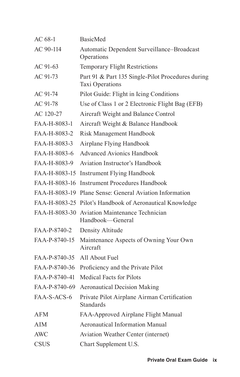| AC 68-1       | <b>BasicMed</b>                                                      |
|---------------|----------------------------------------------------------------------|
| AC 90-114     | Automatic Dependent Surveillance-Broadcast<br>Operations             |
| AC 91-63      | <b>Temporary Flight Restrictions</b>                                 |
| AC 91-73      | Part 91 & Part 135 Single-Pilot Procedures during<br>Taxi Operations |
| AC 91-74      | Pilot Guide: Flight in Icing Conditions                              |
| AC 91-78      | Use of Class 1 or 2 Electronic Flight Bag (EFB)                      |
| AC 120-27     | Aircraft Weight and Balance Control                                  |
| FAA-H-8083-1  | Aircraft Weight & Balance Handbook                                   |
| FAA-H-8083-2  | Risk Management Handbook                                             |
| FAA-H-8083-3  | Airplane Flying Handbook                                             |
| FAA-H-8083-6  | <b>Advanced Avionics Handbook</b>                                    |
| FAA-H-8083-9  | <b>Aviation Instructor's Handbook</b>                                |
| FAA-H-8083-15 | <b>Instrument Flying Handbook</b>                                    |
| FAA-H-8083-16 | <b>Instrument Procedures Handbook</b>                                |
|               | FAA-H-8083-19 Plane Sense: General Aviation Information              |
|               | FAA-H-8083-25 Pilot's Handbook of Aeronautical Knowledge             |
|               | FAA-H-8083-30 Aviation Maintenance Technician<br>Handbook—General    |
| FAA-P-8740-2  | Density Altitude                                                     |
| FAA-P-8740-15 | Maintenance Aspects of Owning Your Own<br>Aircraft                   |
| FAA-P-8740-35 | All About Fuel                                                       |
| FAA-P-8740-36 | Proficiency and the Private Pilot                                    |
| FAA-P-8740-41 | <b>Medical Facts for Pilots</b>                                      |
| FAA-P-8740-69 | <b>Aeronautical Decision Making</b>                                  |
| FAA-S-ACS-6   | Private Pilot Airplane Airman Certification<br>Standards             |
| <b>AFM</b>    | FAA-Approved Airplane Flight Manual                                  |
| <b>AIM</b>    | Aeronautical Information Manual                                      |
| <b>AWC</b>    | Aviation Weather Center (internet)                                   |
| <b>CSUS</b>   | Chart Supplement U.S.                                                |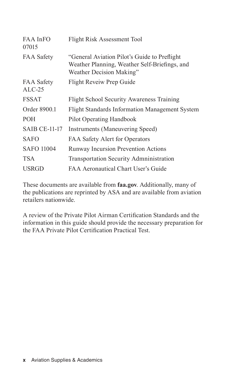| FAA InFO<br>07015             | Flight Risk Assessment Tool                                                                                               |
|-------------------------------|---------------------------------------------------------------------------------------------------------------------------|
| <b>FAA Safety</b>             | "General Aviation Pilot's Guide to Preflight<br>Weather Planning, Weather Self-Briefings, and<br>Weather Decision Making" |
| <b>FAA Safety</b><br>$ALC-25$ | Flight Reveiw Prep Guide                                                                                                  |
| <b>FSSAT</b>                  | Flight School Security Awareness Training                                                                                 |
| Order 8900.1                  | Flight Standards Information Management System                                                                            |
| <b>POH</b>                    | Pilot Operating Handbook                                                                                                  |
| <b>SAIB CE-11-17</b>          | Instruments (Maneuvering Speed)                                                                                           |
| <b>SAFO</b>                   | FAA Safety Alert for Operators                                                                                            |
| <b>SAFO 11004</b>             | Runway Incursion Prevention Actions                                                                                       |
| <b>TSA</b>                    | <b>Transportation Security Admninistration</b>                                                                            |
| <b>USRGD</b>                  | FAA Aeronautical Chart User's Guide                                                                                       |

These documents are available from **faa.gov**. Additionally, many of the publications are reprinted by ASA and are available from aviation retailers nationwide.

A review of the Private Pilot Airman Certification Standards and the information in this guide should provide the necessary preparation for the FAA Private Pilot Certification Practical Test.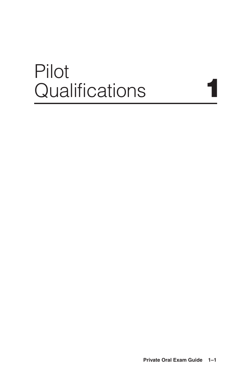### Pilot **Qualifications**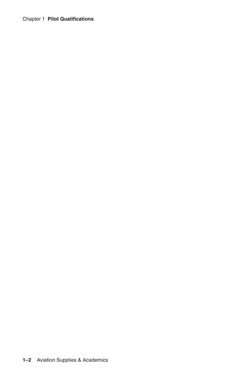#### Chapter 1 **Pilot Qualifications**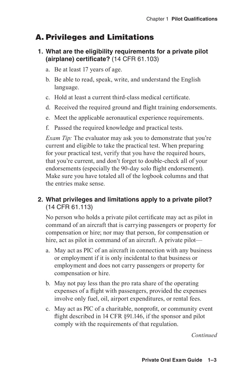### A. Privileges and Limitations

- **1. What are the eligibility requirements for a private pilot (airplane) certificate?** (14 CFR 61.103)
	- a. Be at least 17 years of age.
	- b. Be able to read, speak, write, and understand the English language.
	- c. Hold at least a current third-class medical certificate.
	- d. Received the required ground and flight training endorsements.
	- e. Meet the applicable aeronautical experience requirements.
	- f. Passed the required knowledge and practical tests.

*Exam Tip:* The evaluator may ask you to demonstrate that you're current and eligible to take the practical test. When preparing for your practical test, verify that you have the required hours, that you're current, and don't forget to double-check all of your endorsements (especially the 90-day solo flight endorsement). Make sure you have totaled all of the logbook columns and that the entries make sense.

### **2. What privileges and limitations apply to a private pilot?**  (14 CFR 61.113)

No person who holds a private pilot certificate may act as pilot in command of an aircraft that is carrying passengers or property for compensation or hire; nor may that person, for compensation or hire, act as pilot in command of an aircraft. A private pilot—

- a. May act as PIC of an aircraft in connection with any business or employment if it is only incidental to that business or employment and does not carry passengers or property for compensation or hire.
- b. May not pay less than the pro rata share of the operating expenses of a flight with passengers, provided the expenses involve only fuel, oil, airport expenditures, or rental fees.
- c. May act as PIC of a charitable, nonprofit, or community event flight described in 14 CFR §91.146, if the sponsor and pilot comply with the requirements of that regulation.

*Continued*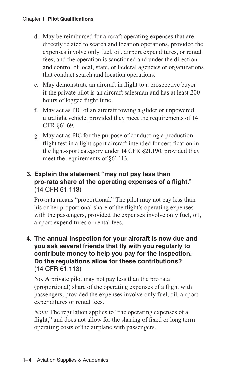- d. May be reimbursed for aircraft operating expenses that are directly related to search and location operations, provided the expenses involve only fuel, oil, airport expenditures, or rental fees, and the operation is sanctioned and under the direction and control of local, state, or Federal agencies or organizations that conduct search and location operations.
- e. May demonstrate an aircraft in flight to a prospective buyer if the private pilot is an aircraft salesman and has at least 200 hours of logged flight time.
- f. May act as PIC of an aircraft towing a glider or unpowered ultralight vehicle, provided they meet the requirements of 14 CFR §61.69.
- g. May act as PIC for the purpose of conducting a production flight test in a light-sport aircraft intended for certification in the light-sport category under 14 CFR §21.190, provided they meet the requirements of §61.113.

### **3. Explain the statement "may not pay less than pro-rata share of the operating expenses of a flight."**  (14 CFR 61.113)

Pro-rata means "proportional." The pilot may not pay less than his or her proportional share of the flight's operating expenses with the passengers, provided the expenses involve only fuel, oil, airport expenditures or rental fees.

**4. The annual inspection for your aircraft is now due and you ask several friends that fly with you regularly to contribute money to help you pay for the inspection. Do the regulations allow for these contributions?**  (14 CFR 61.113)

No. A private pilot may not pay less than the pro rata (proportional) share of the operating expenses of a flight with passengers, provided the expenses involve only fuel, oil, airport expenditures or rental fees.

*Note:* The regulation applies to "the operating expenses of a flight," and does not allow for the sharing of fixed or long term operating costs of the airplane with passengers.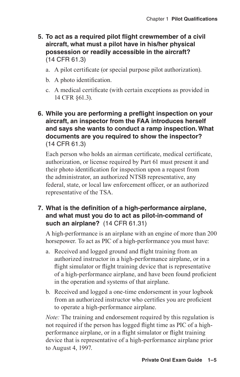- **5. To act as a required pilot flight crewmember of a civil aircraft, what must a pilot have in his/her physical possession or readily accessible in the aircraft?**  (14 CFR 61.3)
	- a. A pilot certificate (or special purpose pilot authorization).
	- b. A photo identification.
	- c. A medical certificate (with certain exceptions as provided in 14 CFR §61.3).
- **6. While you are performing a preflight inspection on your aircraft, an inspector from the FAA introduces herself and says she wants to conduct a ramp inspection. What documents are you required to show the inspector?**  (14 CFR 61.3)

Each person who holds an airman certificate, medical certificate, authorization, or license required by Part 61 must present it and their photo identification for inspection upon a request from the administrator, an authorized NTSB representative, any federal, state, or local law enforcement officer, or an authorized representative of the TSA.

**7. What is the definition of a high-performance airplane, and what must you do to act as pilot-in-command of such an airplane?** (14 CFR 61.31)

A high-performance is an airplane with an engine of more than 200 horsepower. To act as PIC of a high-performance you must have:

- a. Received and logged ground and flight training from an authorized instructor in a high-performance airplane, or in a flight simulator or flight training device that is representative of a high-performance airplane, and have been found proficient in the operation and systems of that airplane.
- b. Received and logged a one-time endorsement in your logbook from an authorized instructor who certifies you are proficient to operate a high-performance airplane.

*Note:* The training and endorsement required by this regulation is not required if the person has logged flight time as PIC of a highperformance airplane, or in a flight simulator or flight training device that is representative of a high-performance airplane prior to August 4, 1997.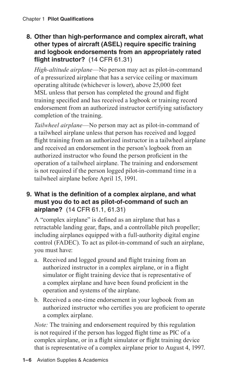### **8. Other than high-performance and complex aircraft, what other types of aircraft (ASEL) require specific training and logbook endorsements from an appropriately rated flight instructor?** (14 CFR 61.31)

*High-altitude airplane*—No person may act as pilot-in-command of a pressurized airplane that has a service ceiling or maximum operating altitude (whichever is lower), above 25,000 feet MSL unless that person has completed the ground and flight training specified and has received a logbook or training record endorsement from an authorized instructor certifying satisfactory completion of the training.

*Tailwheel airplane*—No person may act as pilot-in-command of a tailwheel airplane unless that person has received and logged flight training from an authorized instructor in a tailwheel airplane and received an endorsement in the person's logbook from an authorized instructor who found the person proficient in the operation of a tailwheel airplane. The training and endorsement is not required if the person logged pilot-in-command time in a tailwheel airplane before April 15, 1991.

### **9. What is the definition of a complex airplane, and what must you do to act as pilot-of-command of such an airplane?** (14 CFR 61.1, 61.31)

A "complex airplane" is defined as an airplane that has a retractable landing gear, flaps, and a controllable pitch propeller; including airplanes equipped with a full-authority digital engine control (FADEC). To act as pilot-in-command of such an airplane, you must have:

- a. Received and logged ground and flight training from an authorized instructor in a complex airplane, or in a flight simulator or flight training device that is representative of a complex airplane and have been found proficient in the operation and systems of the airplane.
- b. Received a one-time endorsement in your logbook from an authorized instructor who certifies you are proficient to operate a complex airplane.

*Note:* The training and endorsement required by this regulation is not required if the person has logged flight time as PIC of a complex airplane, or in a flight simulator or flight training device that is representative of a complex airplane prior to August 4, 1997.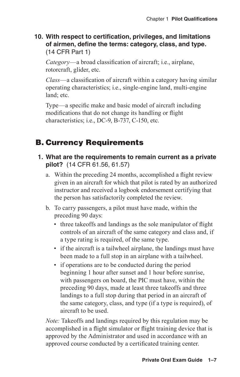#### **10. With respect to certification, privileges, and limitations of airmen, define the terms: category, class, and type.**  (14 CFR Part 1)

*Category*—a broad classification of aircraft; i.e., airplane, rotorcraft, glider, etc.

*Class*—a classification of aircraft within a category having similar operating characteristics; i.e., single-engine land, multi-engine land; etc.

Type—a specific make and basic model of aircraft including modifications that do not change its handling or flight characteristics; i.e., DC-9, B-737, C-150, etc.

### B. Currency Requirements

- **1. What are the requirements to remain current as a private pilot?** (14 CFR 61.56, 61.57)
	- a. Within the preceding 24 months, accomplished a flight review given in an aircraft for which that pilot is rated by an authorized instructor and received a logbook endorsement certifying that the person has satisfactorily completed the review.
	- b. To carry passengers, a pilot must have made, within the preceding 90 days:
		- three takeoffs and landings as the sole manipulator of flight controls of an aircraft of the same category and class and, if a type rating is required, of the same type.
		- if the aircraft is a tailwheel airplane, the landings must have been made to a full stop in an airplane with a tailwheel.
		- if operations are to be conducted during the period beginning 1 hour after sunset and 1 hour before sunrise, with passengers on board, the PIC must have, within the preceding 90 days, made at least three takeoffs and three landings to a full stop during that period in an aircraft of the same category, class, and type (if a type is required), of aircraft to be used.

*Note:* Takeoffs and landings required by this regulation may be accomplished in a flight simulator or flight training device that is approved by the Administrator and used in accordance with an approved course conducted by a certificated training center.